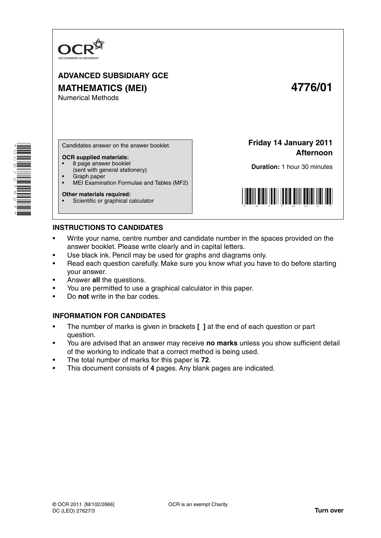

# **ADVANCED SUBSIDIARY GCE MATHEMATICS (MEI) 4776/01** Numerical Methods

\*OCE/27627\* **THE REAL PROPERTY**  Candidates answer on the answer booklet.

#### **OCR supplied materials:**

- 8 page answer booklet
- (sent with general stationery) • Graph paper
- MEI Examination Formulae and Tables (MF2)

#### **Other materials required:**

Scientific or graphical calculator

**Friday 14 January 2011 Afternoon**

**Duration:** 1 hour 30 minutes



## **INSTRUCTIONS TO CANDIDATES**

- Write your name, centre number and candidate number in the spaces provided on the answer booklet. Please write clearly and in capital letters.
- Use black ink. Pencil may be used for graphs and diagrams only.
- Read each question carefully. Make sure you know what you have to do before starting your answer.
- Answer **all** the questions.
- You are permitted to use a graphical calculator in this paper.
- Do **not** write in the bar codes.

## **INFORMATION FOR CANDIDATES**

- The number of marks is given in brackets **[ ]** at the end of each question or part question.
- You are advised that an answer may receive **no marks** unless you show sufficient detail of the working to indicate that a correct method is being used.
- The total number of marks for this paper is **72**.
- This document consists of **4** pages. Any blank pages are indicated.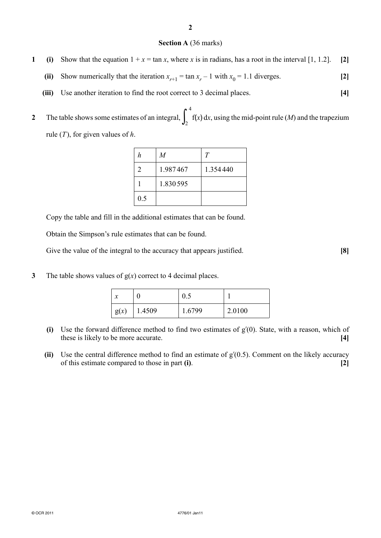#### **Section A** (36 marks)

- **1** (i) Show that the equation  $1 + x = \tan x$ , where *x* is in radians, has a root in the interval [1, 1.2]. [2]
- (ii) Show numerically that the iteration  $x_{r+1} = \tan x_r 1$  with  $x_0 = 1.1$  diverges. [2]
	- **(iii)** Use another iteration to find the root correct to 3 decimal places. **[4]**
- **2** The table shows some estimates of an integral,  $\int_{2}^{3}$ 4  $\int_2$   $f(x) dx$ , using the mid-point rule (*M*) and the trapezium rule (*T* ), for given values of *h*.

| h   | $\overline{M}$ | T        |
|-----|----------------|----------|
| 2   | 1.987467       | 1.354440 |
|     | 1.830595       |          |
| 0.5 |                |          |

Copy the table and fill in the additional estimates that can be found.

Obtain the Simpson's rule estimates that can be found.

Give the value of the integral to the accuracy that appears justified. **[8]** 

**3** The table shows values of g(*x*) correct to 4 decimal places.

| л    |        | 0.5   |        |
|------|--------|-------|--------|
| g(x) | 1.4509 | .6799 | 2.0100 |

- **(i)** Use the forward difference method to find two estimates of gʹ(0). State, with a reason, which of these is likely to be more accurate. **[4]**
- **(ii)** Use the central difference method to find an estimate of gʹ(0.5). Comment on the likely accuracy of this estimate compared to those in part **(i)**. **[2]**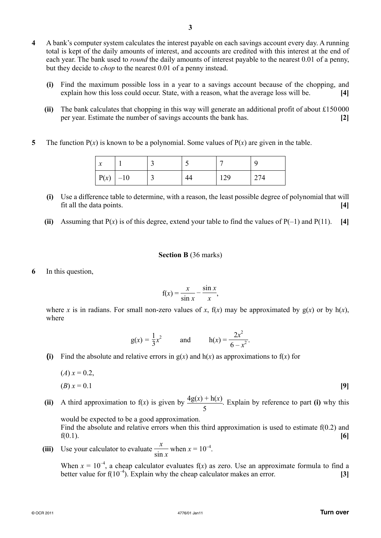- **4** A bank's computer system calculates the interest payable on each savings account every day. A running total is kept of the daily amounts of interest, and accounts are credited with this interest at the end of each year. The bank used to *round* the daily amounts of interest payable to the nearest 0.01 of a penny, but they decide to *chop* to the nearest 0.01 of a penny instead.
	- **(i)** Find the maximum possible loss in a year to a savings account because of the chopping, and explain how this loss could occur. State, with a reason, what the average loss will be. **[4]**
	- **(ii)** The bank calculates that chopping in this way will generate an additional profit of about £150 000 per year. Estimate the number of savings accounts the bank has. **[2]**
- **5** The function  $P(x)$  is known to be a polynomial. Some values of  $P(x)$  are given in the table.

| $\bullet$<br>⋏ |       |  |     |     |
|----------------|-------|--|-----|-----|
| P(x)           | $-10$ |  | 129 | 274 |

- **(i)** Use a difference table to determine, with a reason, the least possible degree of polynomial that will fit all the data points. **[4]**
- **(ii)** Assuming that  $P(x)$  is of this degree, extend your table to find the values of  $P(-1)$  and  $P(11)$ . [4]

#### **Section B** (36 marks)

**6** In this question,

$$
f(x) = \frac{x}{\sin x} - \frac{\sin x}{x},
$$

where *x* is in radians. For small non-zero values of *x*,  $f(x)$  may be approximated by  $g(x)$  or by  $h(x)$ , where

$$
g(x) = \frac{1}{3}x^2
$$
 and  $h(x) = \frac{2x^2}{6-x^2}$ .

**(i)** Find the absolute and relative errors in  $g(x)$  and  $h(x)$  as approximations to  $f(x)$  for

$$
(A) x = 0.2,
$$
  
(B) x = 0.1 [9]

**(ii)** A third approximation to  $f(x)$  is given by  $\frac{4g(x) + h(x)}{5}$ . Explain by reference to part **(i)** why this would be expected to be a good approximation. Find the absolute and relative errors when this third approximation is used to estimate  $f(0.2)$  and

\n- (iii) Use your calculator to evaluate 
$$
\frac{x}{\sin x}
$$
 when  $x = 10^{-4}$ .
\n

When  $x = 10^{-4}$ , a cheap calculator evaluates f(x) as zero. Use an approximate formula to find a better value for  $f(10^{-4})$ . Explain why the cheap calculator makes an error. **[3]**